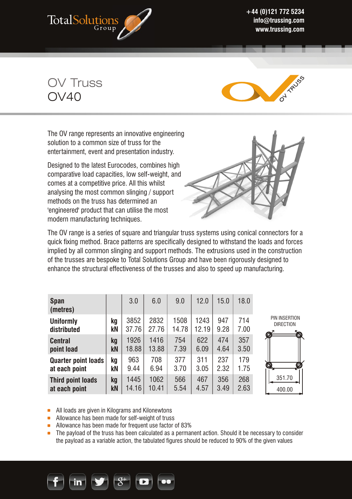

**+44 (0)121 772 5234 info@trussing.com www.trussing.com** 

OV Truss  $OVAO$ 



The OV range represents an innovative engineering solution to a common size of truss for the entertainment, event and presentation industry.

Designed to the latest Eurocodes, combines high comparative load capacities, low self-weight, and comes at a competitive price. All this whilst analysing the most common slinging / support methods on the truss has determined an 'engineered' product that can utilise the most modern manufacturing techniques.



The OV range is a series of square and triangular truss systems using conical connectors for a quick fixing method. Brace patterns are specifically designed to withstand the loads and forces implied by all common slinging and support methods. The extrusions used in the construction of the trusses are bespoke to Total Solutions Group and have been rigorously designed to enhance the structural effectiveness of the trusses and also to speed up manufacturing.

| <b>Span</b><br>(metres)         |          | 3.0           | 6.0           | 9.0           | 12.0          | 15.0        | 18.0        |                                             |
|---------------------------------|----------|---------------|---------------|---------------|---------------|-------------|-------------|---------------------------------------------|
| <b>Uniformly</b><br>distributed | kq<br>kN | 3852<br>37.76 | 2832<br>27.76 | 1508<br>14.78 | 1243<br>12.19 | 947<br>9.28 | 714<br>7.00 | PIN INSERTION<br><b>DIRECTION</b><br>Ø<br>Ó |
| <b>Central</b>                  | kq       | 1926          | 1416          | 754           | 622           | 474         | 357         |                                             |
| point load                      | kN       | 18.88         | 13.88         | 7.39          | 6.09          | 4.64        | 3.50        |                                             |
| <b>Quarter point loads</b>      | ka       | 963           | 708           | 377           | 311           | 237         | 179         | Õ,                                          |
| at each point                   | kΝ       | 9.44          | 6.94          | 3.70          | 3.05          | 2.32        | 1.75        | Ø                                           |
| <b>Third point loads</b>        | kg       | 1445          | 1062          | 566           | 467           | 356         | 268         | 351.70                                      |
| at each point                   | kN       | 14.16         | 10.41         | 5.54          | 4.57          | 3.49        | 2.63        | 400.00                                      |

All loads are given in Kilograms and Kilonewtons

• Allowance has been made for self-weight of truss

- Allowance has been made for frequent use factor of 83%
- **The payload of the truss has been calculated as a permanent action. Should it be necessary to consider** the payload as a variable action, the tabulated figures should be reduced to 90% of the given values